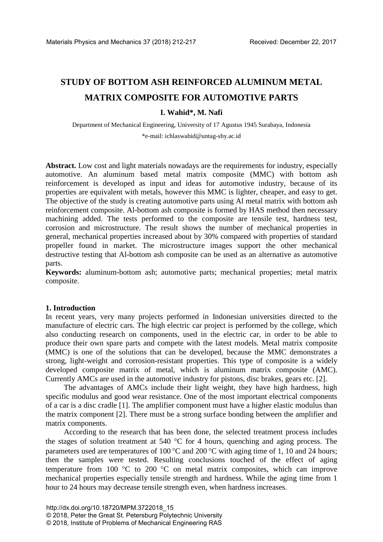# **STUDY OF BOTTOM ASH REINFORCED ALUMINUM METAL MATRIX COMPOSITE FOR AUTOMOTIVE PARTS**

## **I. Wahid\*, M. Nafi**

Department of Mechanical Engineering, University of 17 Agustus 1945 Surabaya, Indonesia \*e-mail: ichlaswahid@untag-sby.ac.id

**Abstract.** Low cost and light materials nowadays are the requirements for industry, especially automotive. An aluminum based metal matrix composite (MMC) with bottom ash reinforcement is developed as input and ideas for automotive industry, because of its properties are equivalent with metals, however this MMC is lighter, cheaper, and easy to get. The objective of the study is creating automotive parts using Al metal matrix with bottom ash reinforcement composite. Al-bottom ash composite is formed by HAS method then necessary machining added. The tests performed to the composite are tensile test, hardness test, corrosion and microstructure. The result shows the number of mechanical properties in general, mechanical properties increased about by 30% compared with properties of standard propeller found in market. The microstructure images support the other mechanical destructive testing that Al-bottom ash composite can be used as an alternative as automotive parts.

**Keywords:** aluminum-bottom ash; automotive parts; mechanical properties; metal matrix composite.

### **1. Introduction**

In recent years, very many projects performed in Indonesian universities directed to the manufacture of electric cars. The high electric car project is performed by the college, which also conducting research on components, used in the electric car, in order to be able to produce their own spare parts and compete with the latest models. Metal matrix composite (MMC) is one of the solutions that can be developed, because the MMC demonstrates a strong, light-weight and corrosion-resistant properties. This type of composite is a widely developed composite matrix of metal, which is aluminum matrix composite (AMC). Currently AMCs are used in the automotive industry for pistons, disc brakes, gears etc. [2].

The advantages of AMCs include their light weight, they have high hardness, high specific modulus and good wear resistance. One of the most important electrical components of a car is a disc cradle [1]. The amplifier component must have a higher elastic modulus than the matrix component [2]. There must be a strong surface bonding between the amplifier and matrix components.

According to the research that has been done, the selected treatment process includes the stages of solution treatment at 540 °C for 4 hours, quenching and aging process. The parameters used are temperatures of 100  $^{\circ}$ C and 200  $^{\circ}$ C with aging time of 1, 10 and 24 hours; then the samples were tested. Resulting conclusions touched of the effect of aging temperature from 100 °C to 200 °C on metal matrix composites, which can improve mechanical properties especially tensile strength and hardness. While the aging time from 1 hour to 24 hours may decrease tensile strength even, when hardness increases.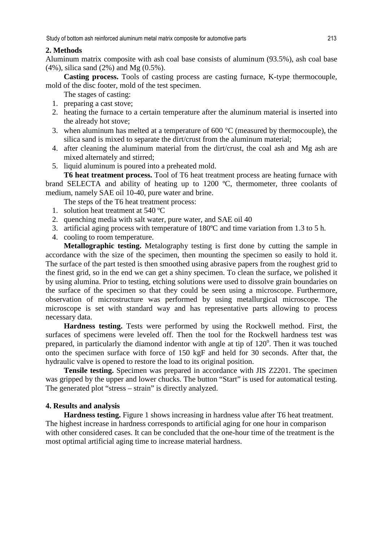### **2. Methods**

Aluminum matrix composite with ash coal base consists of aluminum (93.5%), ash coal base (4%), silica sand (2%) and Mg (0.5%).

**Casting process.** Tools of casting process are casting furnace, K-type thermocouple, mold of the disc footer, mold of the test specimen.

The stages of casting:

- 1. preparing a cast stove;
- 2. heating the furnace to a certain temperature after the aluminum material is inserted into the already hot stove;
- 3. when aluminum has melted at a temperature of  $600 \degree C$  (measured by thermocouple), the silica sand is mixed to separate the dirt/crust from the aluminum material;
- 4. after cleaning the aluminum material from the dirt/crust, the coal ash and Mg ash are mixed alternately and stirred;
- 5. liquid aluminum is poured into a preheated mold.

**T6 heat treatment process.** Tool of T6 heat treatment process are heating furnace with brand SELECTA and ability of heating up to 1200 ºC, thermometer, three coolants of medium, namely SAE oil 10-40, pure water and brine.

- The steps of the T6 heat treatment process:
- 1. solution heat treatment at 540 ºC
- 2. quenching media with salt water, pure water, and SAE oil 40
- 3. artificial aging process with temperature of 180ºC and time variation from 1.3 to 5 h.
- 4. cooling to room temperature.

**Metallographic testing.** Metalography testing is first done by cutting the sample in accordance with the size of the specimen, then mounting the specimen so easily to hold it. The surface of the part tested is then smoothed using abrasive papers from the roughest grid to the finest grid, so in the end we can get a shiny specimen. To clean the surface, we polished it by using alumina. Prior to testing, etching solutions were used to dissolve grain boundaries on the surface of the specimen so that they could be seen using a microscope. Furthermore, observation of microstructure was performed by using metallurgical microscope. The microscope is set with standard way and has representative parts allowing to process necessary data.

**Hardness testing.** Tests were performed by using the Rockwell method. First, the surfaces of specimens were leveled off. Then the tool for the Rockwell hardness test was prepared, in particularly the diamond indentor with angle at tip of 120°. Then it was touched onto the specimen surface with force of 150 kgF and held for 30 seconds. After that, the hydraulic valve is opened to restore the load to its original position.

**Tensile testing.** Specimen was prepared in accordance with JIS Z2201. The specimen was gripped by the upper and lower chucks. The button "Start" is used for automatical testing. The generated plot "stress – strain" is directly analyzed.

### **4. Results and analysis**

**Hardness testing.** Figure 1 shows increasing in hardness value after T6 heat treatment. The highest increase in hardness corresponds to artificial aging for one hour in comparison with other considered cases. It can be concluded that the one-hour time of the treatment is the most optimal artificial aging time to increase material hardness.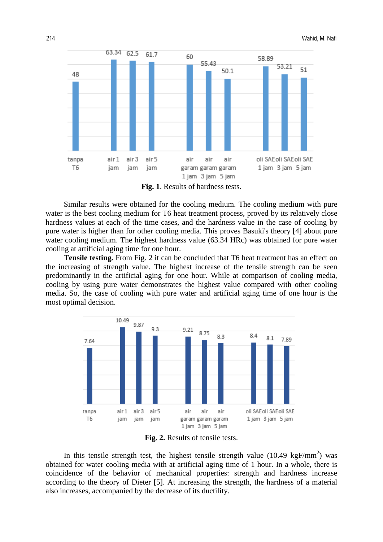

**Fig. 1**. Results of hardness tests.

Similar results were obtained for the cooling medium. The cooling medium with pure water is the best cooling medium for T6 heat treatment process, proved by its relatively close hardness values at each of the time cases, and the hardness value in the case of cooling by pure water is higher than for other cooling media. This proves Basuki's theory [4] about pure water cooling medium. The highest hardness value (63.34 HRc) was obtained for pure water cooling at artificial aging time for one hour.

**Tensile testing.** From Fig. 2 it can be concluded that T6 heat treatment has an effect on the increasing of strength value. The highest increase of the tensile strength can be seen predominantly in the artificial aging for one hour. While at comparison of cooling media, cooling by using pure water demonstrates the highest value compared with other cooling media. So, the case of cooling with pure water and artificial aging time of one hour is the most optimal decision.



**Fig. 2.** Results of tensile tests.

In this tensile strength test, the highest tensile strength value (10.49 kgF/mm<sup>2</sup>) was obtained for water cooling media with at artificial aging time of 1 hour. In a whole, there is coincidence of the behavior of mechanical properties: strength and hardness increase according to the theory of Dieter [5]. At increasing the strength, the hardness of a material also increases, accompanied by the decrease of its ductility.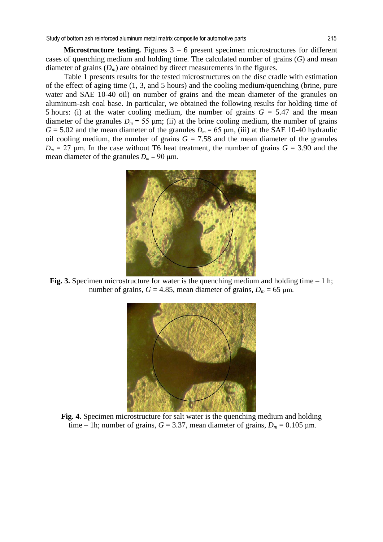**Microstructure testing.** Figures 3 – 6 present specimen microstructures for different cases of quenching medium and holding time. The calculated number of grains (*G*) and mean diameter of grains  $(D_m)$  are obtained by direct measurements in the figures.

Table 1 presents results for the tested microstructures on the disc cradle with estimation of the effect of aging time (1, 3, and 5 hours) and the cooling medium/quenching (brine, pure water and SAE 10-40 oil) on number of grains and the mean diameter of the granules on aluminum-ash coal base. In particular, we obtained the following results for holding time of 5 hours: (i) at the water cooling medium, the number of grains  $G = 5.47$  and the mean diameter of the granules  $D_m = 55 \mu m$ ; (ii) at the brine cooling medium, the number of grains  $G = 5.02$  and the mean diameter of the granules  $D_m = 65 \mu m$ , (iii) at the SAE 10-40 hydraulic oil cooling medium, the number of grains  $G = 7.58$  and the mean diameter of the granules  $D_m = 27$  μm. In the case without T6 heat treatment, the number of grains  $G = 3.90$  and the mean diameter of the granules  $D_m = 90 \text{ }\mu\text{m}$ .



**Fig. 3.** Specimen microstructure for water is the quenching medium and holding time  $-1$  h; number of grains,  $G = 4.85$ , mean diameter of grains,  $D_m = 65 \text{ }\mu\text{m}$ .



**Fig. 4.** Specimen microstructure for salt water is the quenching medium and holding time – 1h; number of grains,  $G = 3.37$ , mean diameter of grains,  $D_m = 0.105$   $\mu$ m.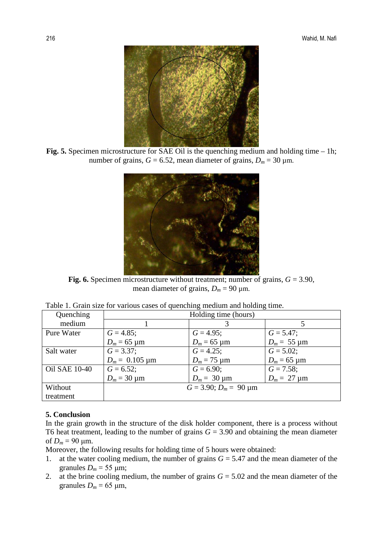

Fig. 5. Specimen microstructure for SAE Oil is the quenching medium and holding time – 1h; number of grains,  $G = 6.52$ , mean diameter of grains,  $D_m = 30 \text{ }\mu\text{m}$ .



**Fig. 6.** Specimen microstructure without treatment; number of grains, *G* = 3.90, mean diameter of grains,  $D_m = 90 \text{ µm}$ .

| Quenching            | Holding time (hours)            |                                |                                |  |  |  |  |
|----------------------|---------------------------------|--------------------------------|--------------------------------|--|--|--|--|
| medium               |                                 |                                |                                |  |  |  |  |
| Pure Water           | $G = 4.85$ ;                    | $G = 4.95$ ;                   | $G = 5.47$ ;                   |  |  |  |  |
|                      | $D_m = 65 \text{ }\mu\text{m}$  | $D_m = 65 \text{ }\mu\text{m}$ | $D_m = 55 \text{ }\mu\text{m}$ |  |  |  |  |
| Salt water           | $G = 3.37$ ;                    | $G = 4.25$ ;                   | $G = 5.02;$                    |  |  |  |  |
|                      | $D_m = 0.105 \,\mathrm{\mu m}$  | $D_m = 75 \text{ µm}$          | $D_m = 65 \text{ µm}$          |  |  |  |  |
| <b>Oil SAE 10-40</b> | $G = 6.52$ ;                    | $G = 6.90;$                    | $G = 7.58$ ;                   |  |  |  |  |
|                      | $D_m = 30 \,\mu m$              | $D_m = 30 \,\text{µm}$         | $D_m = 27 \text{ }\mu\text{m}$ |  |  |  |  |
| Without              | $G = 3.90; D_m = 90 \text{ µm}$ |                                |                                |  |  |  |  |
| treatment            |                                 |                                |                                |  |  |  |  |

|  |  |  |  | Table 1. Grain size for various cases of quenching medium and holding time. |  |  |
|--|--|--|--|-----------------------------------------------------------------------------|--|--|
|  |  |  |  |                                                                             |  |  |
|  |  |  |  |                                                                             |  |  |

### **5. Conclusion**

In the grain growth in the structure of the disk holder component, there is a process without T6 heat treatment, leading to the number of grains  $G = 3.90$  and obtaining the mean diameter of  $D_m = 90 \mu m$ .

Moreover, the following results for holding time of 5 hours were obtained:

- 1. at the water cooling medium, the number of grains *G* = 5.47 and the mean diameter of the granules  $D_m = 55 \text{ }\mu\text{m}$ ;
- 2. at the brine cooling medium, the number of grains  $G = 5.02$  and the mean diameter of the granules  $D_m = 65 \text{ }\mu\text{m}$ ,